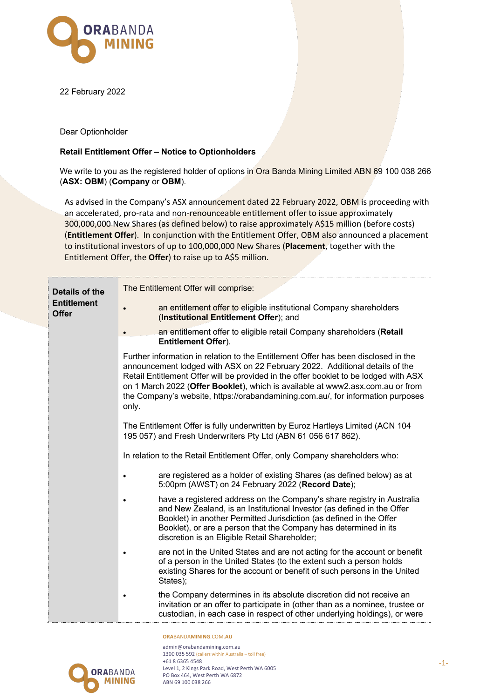

22 February 2022

Dear Optionholder

## **Retail Entitlement Offer – Notice to Optionholders**

We write to you as the registered holder of options in Ora Banda Mining Limited ABN 69 100 038 266 (**ASX: OBM**) (**Company** or **OBM**).

As advised in the Company's ASX announcement dated 22 February 2022, OBM is proceeding with an accelerated, pro-rata and non-renounceable entitlement offer to issue approximately 300,000,000 New Shares (as defined below) to raise approximately A\$15 million (before costs) (**Entitlement Offer**). In conjunction with the Entitlement Offer, OBM also announced a placement to institutional investors of up to 100,000,000 New Shares (**Placement**, together with the Entitlement Offer, the **Offer**) to raise up to A\$5 million.

| Details of the<br><b>Entitlement</b><br><b>Offer</b> | The Entitlement Offer will comprise:                                                                                                                                                                                                                                                                                                                                                                                                    |  |  |
|------------------------------------------------------|-----------------------------------------------------------------------------------------------------------------------------------------------------------------------------------------------------------------------------------------------------------------------------------------------------------------------------------------------------------------------------------------------------------------------------------------|--|--|
|                                                      | an entitlement offer to eligible institutional Company shareholders<br>(Institutional Entitlement Offer); and                                                                                                                                                                                                                                                                                                                           |  |  |
|                                                      | an entitlement offer to eligible retail Company shareholders (Retail<br><b>Entitlement Offer).</b>                                                                                                                                                                                                                                                                                                                                      |  |  |
|                                                      | Further information in relation to the Entitlement Offer has been disclosed in the<br>announcement lodged with ASX on 22 February 2022. Additional details of the<br>Retail Entitlement Offer will be provided in the offer booklet to be lodged with ASX<br>on 1 March 2022 (Offer Booklet), which is available at www2.asx.com.au or from<br>the Company's website, https://orabandamining.com.au/, for information purposes<br>only. |  |  |
|                                                      | The Entitlement Offer is fully underwritten by Euroz Hartleys Limited (ACN 104<br>195 057) and Fresh Underwriters Pty Ltd (ABN 61 056 617 862).                                                                                                                                                                                                                                                                                         |  |  |
|                                                      | In relation to the Retail Entitlement Offer, only Company shareholders who:                                                                                                                                                                                                                                                                                                                                                             |  |  |
|                                                      | are registered as a holder of existing Shares (as defined below) as at<br>5:00pm (AWST) on 24 February 2022 (Record Date);                                                                                                                                                                                                                                                                                                              |  |  |
|                                                      | have a registered address on the Company's share registry in Australia<br>and New Zealand, is an Institutional Investor (as defined in the Offer<br>Booklet) in another Permitted Jurisdiction (as defined in the Offer<br>Booklet), or are a person that the Company has determined in its<br>discretion is an Eligible Retail Shareholder;                                                                                            |  |  |
|                                                      | are not in the United States and are not acting for the account or benefit<br>of a person in the United States (to the extent such a person holds<br>existing Shares for the account or benefit of such persons in the United<br>States);                                                                                                                                                                                               |  |  |
|                                                      | the Company determines in its absolute discretion did not receive an<br>invitation or an offer to participate in (other than as a nominee, trustee or<br>custodian, in each case in respect of other underlying holdings), or were                                                                                                                                                                                                      |  |  |
|                                                      | ORABANDAMINING.COM.AU                                                                                                                                                                                                                                                                                                                                                                                                                   |  |  |



admin@orabandamining.com.au 1300 035 592 (callers within Australia – toll free) +61 8 6365 4548 Level 1, 2 Kings Park Road, West Perth WA 6005 PO Box 464, West Perth WA 6872 ABN 69 100 038 266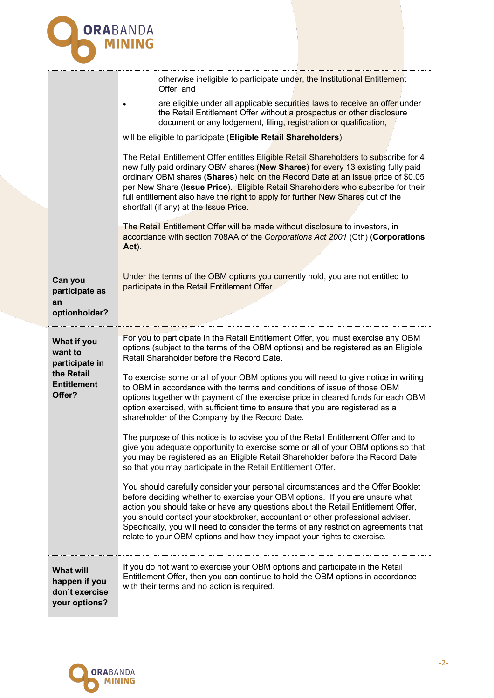

|                                                                                        | otherwise ineligible to participate under, the Institutional Entitlement<br>Offer; and<br>are eligible under all applicable securities laws to receive an offer under                                                                                                                                                                                                                                                                                                                                    |
|----------------------------------------------------------------------------------------|----------------------------------------------------------------------------------------------------------------------------------------------------------------------------------------------------------------------------------------------------------------------------------------------------------------------------------------------------------------------------------------------------------------------------------------------------------------------------------------------------------|
|                                                                                        | the Retail Entitlement Offer without a prospectus or other disclosure<br>document or any lodgement, filing, registration or qualification,                                                                                                                                                                                                                                                                                                                                                               |
|                                                                                        | will be eligible to participate (Eligible Retail Shareholders).                                                                                                                                                                                                                                                                                                                                                                                                                                          |
|                                                                                        | The Retail Entitlement Offer entitles Eligible Retail Shareholders to subscribe for 4<br>new fully paid ordinary OBM shares (New Shares) for every 13 existing fully paid<br>ordinary OBM shares (Shares) held on the Record Date at an issue price of \$0.05<br>per New Share (Issue Price). Eligible Retail Shareholders who subscribe for their<br>full entitlement also have the right to apply for further New Shares out of the<br>shortfall (if any) at the Issue Price.                          |
|                                                                                        | The Retail Entitlement Offer will be made without disclosure to investors, in<br>accordance with section 708AA of the Corporations Act 2001 (Cth) (Corporations<br>Act).                                                                                                                                                                                                                                                                                                                                 |
| Can you<br>participate as<br>an                                                        | Under the terms of the OBM options you currently hold, you are not entitled to<br>participate in the Retail Entitlement Offer.                                                                                                                                                                                                                                                                                                                                                                           |
| optionholder?                                                                          |                                                                                                                                                                                                                                                                                                                                                                                                                                                                                                          |
| What if you<br>want to<br>participate in<br>the Retail<br><b>Entitlement</b><br>Offer? | For you to participate in the Retail Entitlement Offer, you must exercise any OBM<br>options (subject to the terms of the OBM options) and be registered as an Eligible<br>Retail Shareholder before the Record Date.                                                                                                                                                                                                                                                                                    |
|                                                                                        | To exercise some or all of your OBM options you will need to give notice in writing<br>to OBM in accordance with the terms and conditions of issue of those OBM<br>options together with payment of the exercise price in cleared funds for each OBM<br>option exercised, with sufficient time to ensure that you are registered as a<br>shareholder of the Company by the Record Date.                                                                                                                  |
|                                                                                        | The purpose of this notice is to advise you of the Retail Entitlement Offer and to<br>give you adequate opportunity to exercise some or all of your OBM options so that<br>you may be registered as an Eligible Retail Shareholder before the Record Date<br>so that you may participate in the Retail Entitlement Offer.                                                                                                                                                                                |
|                                                                                        | You should carefully consider your personal circumstances and the Offer Booklet<br>before deciding whether to exercise your OBM options. If you are unsure what<br>action you should take or have any questions about the Retail Entitlement Offer,<br>you should contact your stockbroker, accountant or other professional adviser.<br>Specifically, you will need to consider the terms of any restriction agreements that<br>relate to your OBM options and how they impact your rights to exercise. |
| <b>What will</b><br>happen if you<br>don't exercise<br>your options?                   | If you do not want to exercise your OBM options and participate in the Retail<br>Entitlement Offer, then you can continue to hold the OBM options in accordance<br>with their terms and no action is required.                                                                                                                                                                                                                                                                                           |
|                                                                                        |                                                                                                                                                                                                                                                                                                                                                                                                                                                                                                          |

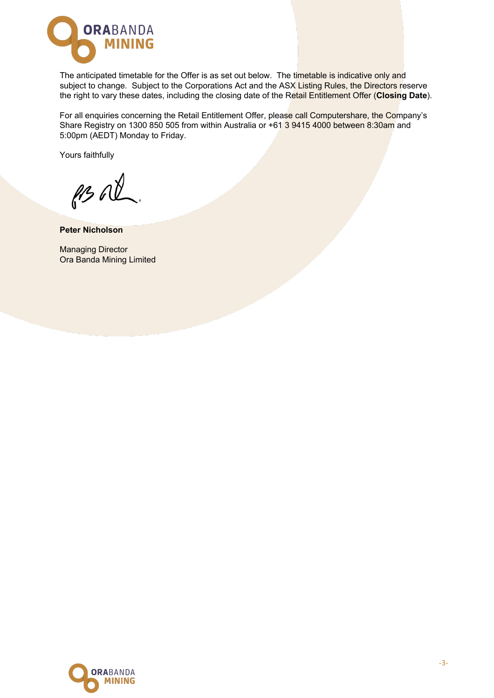

The anticipated timetable for the Offer is as set out below. The timetable is indicative only and subject to change. Subject to the Corporations Act and the ASX Listing Rules, the Directors reserve the right to vary these dates, including the closing date of the Retail Entitlement Offer (**Closing Date**).

For all enquiries concerning the Retail Entitlement Offer, please call Computershare, the Company's Share Registry on 1300 850 505 from within Australia or +61 3 9415 4000 between 8:30am and 5:00pm (AEDT) Monday to Friday.

Yours faithfully

ps al

**Peter Nicholson**

Managing Director Ora Banda Mining Limited